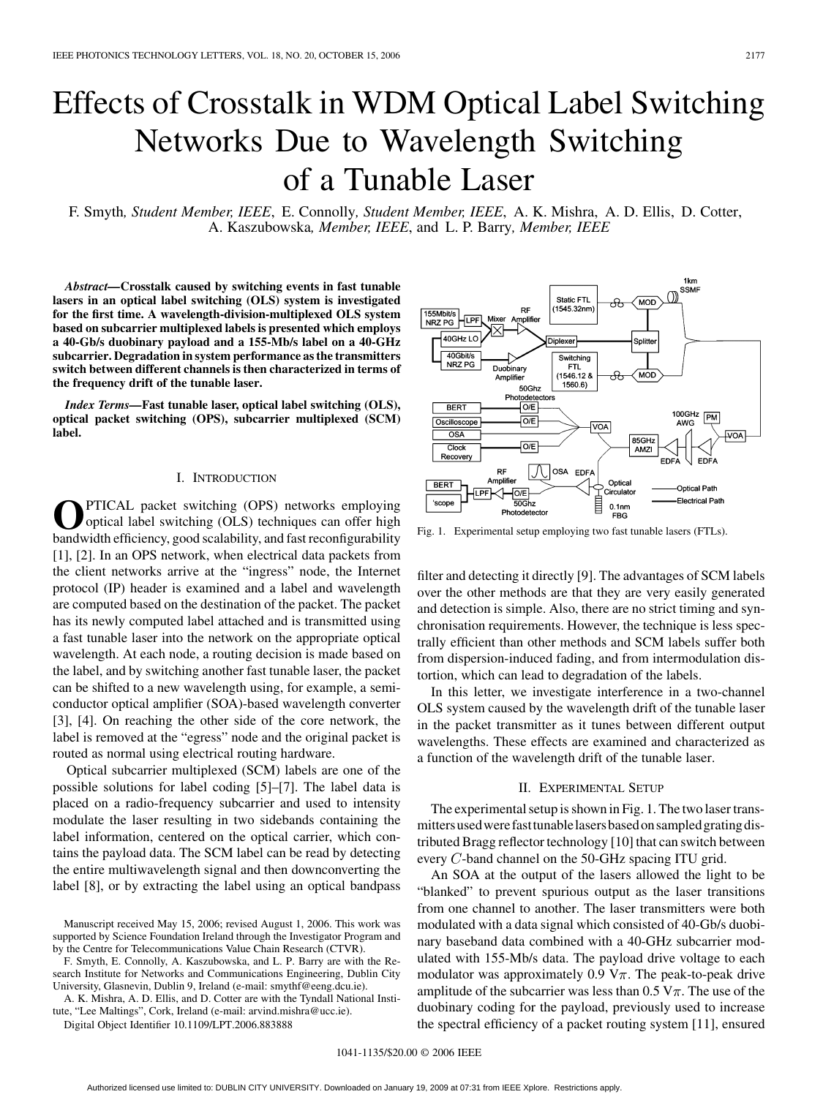# Effects of Crosstalk in WDM Optical Label Switching Networks Due to Wavelength Switching of a Tunable Laser

F. Smyth*, Student Member, IEEE*, E. Connolly*, Student Member, IEEE*, A. K. Mishra, A. D. Ellis, D. Cotter, A. Kaszubowska*, Member, IEEE*, and L. P. Barry*, Member, IEEE*

*Abstract—***Crosstalk caused by switching events in fast tunable lasers in an optical label switching (OLS) system is investigated for the first time. A wavelength-division-multiplexed OLS system based on subcarrier multiplexed labels is presented which employs a 40-Gb/s duobinary payload and a 155-Mb/s label on a 40-GHz subcarrier. Degradation in system performance as the transmitters switch between different channels is then characterized in terms of the frequency drift of the tunable laser.**

*Index Terms—***Fast tunable laser, optical label switching (OLS), optical packet switching (OPS), subcarrier multiplexed (SCM) label.**

### I. INTRODUCTION

**O**PTICAL packet switching (OPS) networks employing optical label switching (OLS) techniques can offer high bandwidth efficiency, good scalability, and fast reconfigurability [\[1\], \[2\].](#page-2-0) In an OPS network, when electrical data packets from the client networks arrive at the "ingress" node, the Internet protocol (IP) header is examined and a label and wavelength are computed based on the destination of the packet. The packet has its newly computed label attached and is transmitted using a fast tunable laser into the network on the appropriate optical wavelength. At each node, a routing decision is made based on the label, and by switching another fast tunable laser, the packet can be shifted to a new wavelength using, for example, a semiconductor optical amplifier (SOA)-based wavelength converter [\[3\], \[4\].](#page-2-0) On reaching the other side of the core network, the label is removed at the "egress" node and the original packet is routed as normal using electrical routing hardware.

Optical subcarrier multiplexed (SCM) labels are one of the possible solutions for label coding [\[5\]–\[7\].](#page-2-0) The label data is placed on a radio-frequency subcarrier and used to intensity modulate the laser resulting in two sidebands containing the label information, centered on the optical carrier, which contains the payload data. The SCM label can be read by detecting the entire multiwavelength signal and then downconverting the label [\[8\]](#page-2-0), or by extracting the label using an optical bandpass

F. Smyth, E. Connolly, A. Kaszubowska, and L. P. Barry are with the Research Institute for Networks and Communications Engineering, Dublin City University, Glasnevin, Dublin 9, Ireland (e-mail: smythf@eeng.dcu.ie).

A. K. Mishra, A. D. Ellis, and D. Cotter are with the Tyndall National Institute, "Lee Maltings", Cork, Ireland (e-mail: arvind.mishra@ucc.ie).

Digital Object Identifier 10.1109/LPT.2006.883888



Fig. 1. Experimental setup employing two fast tunable lasers (FTLs).

filter and detecting it directly [\[9\]](#page-2-0). The advantages of SCM labels over the other methods are that they are very easily generated and detection is simple. Also, there are no strict timing and synchronisation requirements. However, the technique is less spectrally efficient than other methods and SCM labels suffer both from dispersion-induced fading, and from intermodulation distortion, which can lead to degradation of the labels.

In this letter, we investigate interference in a two-channel OLS system caused by the wavelength drift of the tunable laser in the packet transmitter as it tunes between different output wavelengths. These effects are examined and characterized as a function of the wavelength drift of the tunable laser.

## II. EXPERIMENTAL SETUP

The experimental setup is shown in Fig. 1. The two laser transmittersusedwerefasttunablelasersbasedonsampledgratingdistributed Bragg reflector technology [\[10\]](#page-2-0) that can switch between every  $C$ -band channel on the 50-GHz spacing ITU grid.

An SOA at the output of the lasers allowed the light to be "blanked" to prevent spurious output as the laser transitions from one channel to another. The laser transmitters were both modulated with a data signal which consisted of 40-Gb/s duobinary baseband data combined with a 40-GHz subcarrier modulated with 155-Mb/s data. The payload drive voltage to each modulator was approximately 0.9 V $\pi$ . The peak-to-peak drive amplitude of the subcarrier was less than  $0.5 \text{ V}\pi$ . The use of the duobinary coding for the payload, previously used to increase the spectral efficiency of a packet routing system [\[11\]](#page-2-0), ensured

Manuscript received May 15, 2006; revised August 1, 2006. This work was supported by Science Foundation Ireland through the Investigator Program and by the Centre for Telecommunications Value Chain Research (CTVR).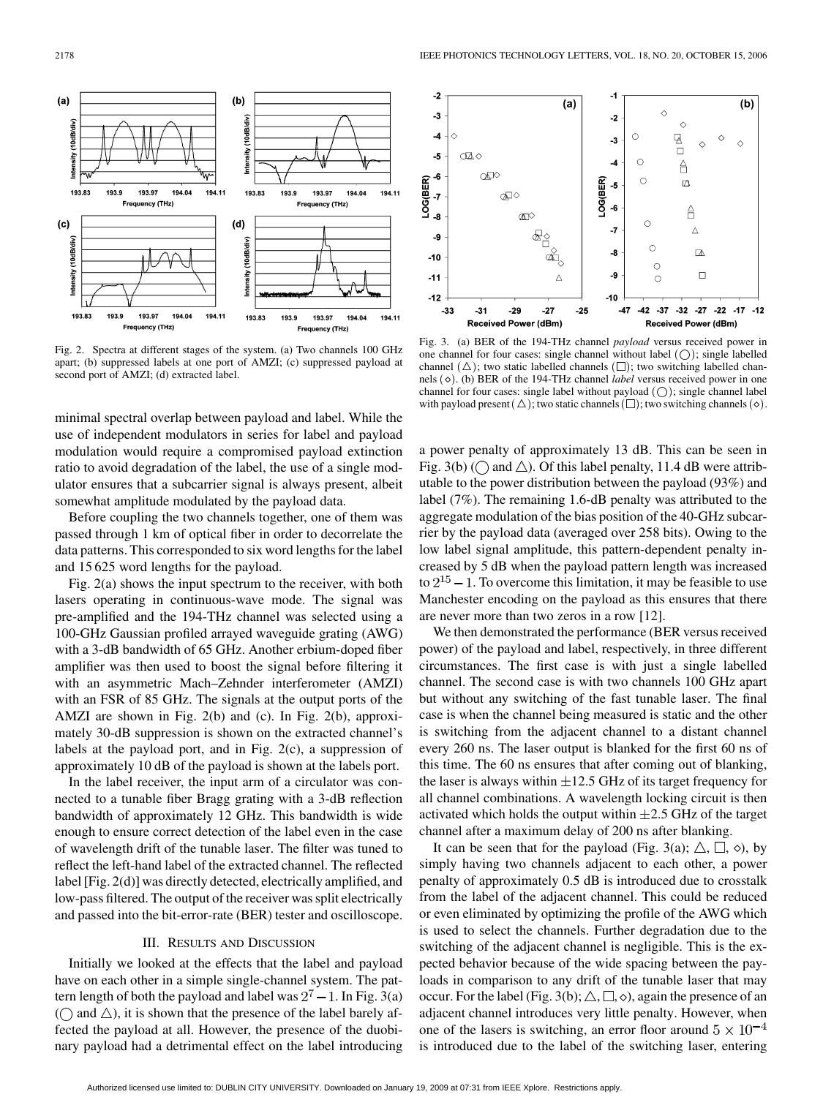

Fig. 2. Spectra at different stages of the system. (a) Two channels 100 GHz apart; (b) suppressed labels at one port of AMZI; (c) suppressed payload at second port of AMZI; (d) extracted label.

minimal spectral overlap between payload and label. While the use of independent modulators in series for label and payload modulation would require a compromised payload extinction ratio to avoid degradation of the label, the use of a single modulator ensures that a subcarrier signal is always present, albeit somewhat amplitude modulated by the payload data.

Before coupling the two channels together, one of them was passed through 1 km of optical fiber in order to decorrelate the data patterns. This corresponded to six word lengths for the label and 15 625 word lengths for the payload.

Fig. 2(a) shows the input spectrum to the receiver, with both lasers operating in continuous-wave mode. The signal was pre-amplified and the 194-THz channel was selected using a 100-GHz Gaussian profiled arrayed waveguide grating (AWG) with a 3-dB bandwidth of 65 GHz. Another erbium-doped fiber amplifier was then used to boost the signal before filtering it with an asymmetric Mach–Zehnder interferometer (AMZI) with an FSR of 85 GHz. The signals at the output ports of the AMZI are shown in Fig. 2(b) and (c). In Fig. 2(b), approximately 30-dB suppression is shown on the extracted channel's labels at the payload port, and in Fig. 2(c), a suppression of approximately 10 dB of the payload is shown at the labels port.

In the label receiver, the input arm of a circulator was connected to a tunable fiber Bragg grating with a 3-dB reflection bandwidth of approximately 12 GHz. This bandwidth is wide enough to ensure correct detection of the label even in the case of wavelength drift of the tunable laser. The filter was tuned to reflect the left-hand label of the extracted channel. The reflected label [Fig. 2(d)] was directly detected, electrically amplified, and low-pass filtered. The output of the receiver was split electrically and passed into the bit-error-rate (BER) tester and oscilloscope.

## III. RESULTS AND DISCUSSION

Initially we looked at the effects that the label and payload have on each other in a simple single-channel system. The pattern length of both the payload and label was  $2^7 - 1$ . In Fig. 3(a) ( $\bigcirc$  and  $\triangle$ ), it is shown that the presence of the label barely affected the payload at all. However, the presence of the duobinary payload had a detrimental effect on the label introducing



Fig. 3. (a) BER of the 194-THz channel *payload* versus received power in one channel for four cases: single channel without label  $( \bigcirc )$ ; single labelled channel  $(\triangle)$ ; two static labelled channels  $(\square)$ ; two switching labelled channels ( $\diamond$ ). (b) BER of the 194-THz channel *label* versus received power in one channel for four cases: single label without payload  $( \bigcap )$ ; single channel label with payload present  $(\triangle)$ ; two static channels  $(\square)$ ; two switching channels  $(\diamond)$ .

a power penalty of approximately 13 dB. This can be seen in Fig. 3(b) ( $\bigcap$  and  $\triangle$ ). Of this label penalty, 11.4 dB were attributable to the power distribution between the payload (93%) and label (7%). The remaining 1.6-dB penalty was attributed to the aggregate modulation of the bias position of the 40-GHz subcarrier by the payload data (averaged over 258 bits). Owing to the low label signal amplitude, this pattern-dependent penalty increased by 5 dB when the payload pattern length was increased to  $2^{15} - 1$ . To overcome this limitation, it may be feasible to use Manchester encoding on the payload as this ensures that there are never more than two zeros in a row [\[12\].](#page-2-0)

We then demonstrated the performance (BER versus received power) of the payload and label, respectively, in three different circumstances. The first case is with just a single labelled channel. The second case is with two channels 100 GHz apart but without any switching of the fast tunable laser. The final case is when the channel being measured is static and the other is switching from the adjacent channel to a distant channel every 260 ns. The laser output is blanked for the first 60 ns of this time. The 60 ns ensures that after coming out of blanking, the laser is always within  $\pm 12.5$  GHz of its target frequency for all channel combinations. A wavelength locking circuit is then activated which holds the output within  $\pm 2.5$  GHz of the target channel after a maximum delay of 200 ns after blanking.

It can be seen that for the payload (Fig. 3(a);  $\triangle$ ,  $\Box$ ,  $\diamond$ ), by simply having two channels adjacent to each other, a power penalty of approximately 0.5 dB is introduced due to crosstalk from the label of the adjacent channel. This could be reduced or even eliminated by optimizing the profile of the AWG which is used to select the channels. Further degradation due to the switching of the adjacent channel is negligible. This is the expected behavior because of the wide spacing between the payloads in comparison to any drift of the tunable laser that may occur. For the label (Fig. 3(b);  $\triangle$ ,  $\square$ ,  $\diamond$ ), again the presence of an adjacent channel introduces very little penalty. However, when one of the lasers is switching, an error floor around  $5 \times 10^{-4}$ is introduced due to the label of the switching laser, entering